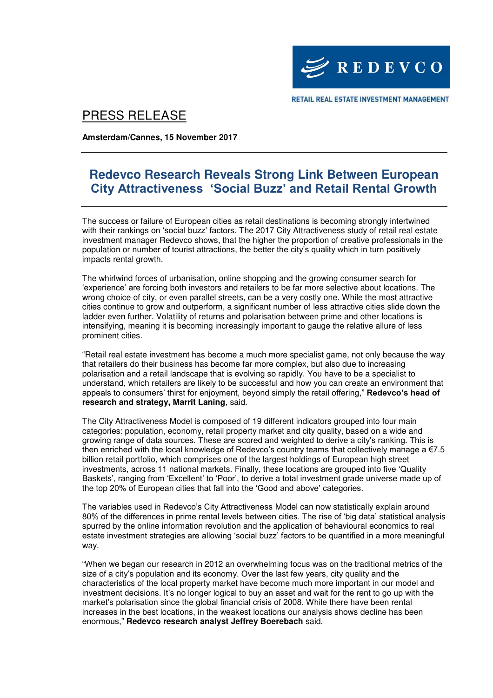

RETAIL REAL ESTATE INVESTMENT MANAGEMENT

# PRESS RELEASE

**Amsterdam/Cannes, 15 November 2017** 

## **Redevco Research Reveals Strong Link Between European City Attractiveness 'Social Buzz' and Retail Rental Growth**

The success or failure of European cities as retail destinations is becoming strongly intertwined with their rankings on 'social buzz' factors. The 2017 City Attractiveness study of retail real estate investment manager Redevco shows, that the higher the proportion of creative professionals in the population or number of tourist attractions, the better the city's quality which in turn positively impacts rental growth.

The whirlwind forces of urbanisation, online shopping and the growing consumer search for 'experience' are forcing both investors and retailers to be far more selective about locations. The wrong choice of city, or even parallel streets, can be a very costly one. While the most attractive cities continue to grow and outperform, a significant number of less attractive cities slide down the ladder even further. Volatility of returns and polarisation between prime and other locations is intensifying, meaning it is becoming increasingly important to gauge the relative allure of less prominent cities.

"Retail real estate investment has become a much more specialist game, not only because the way that retailers do their business has become far more complex, but also due to increasing polarisation and a retail landscape that is evolving so rapidly. You have to be a specialist to understand, which retailers are likely to be successful and how you can create an environment that appeals to consumers' thirst for enjoyment, beyond simply the retail offering," **Redevco's head of research and strategy, Marrit Laning**, said.

The City Attractiveness Model is composed of 19 different indicators grouped into four main categories: population, economy, retail property market and city quality, based on a wide and growing range of data sources. These are scored and weighted to derive a city's ranking. This is then enriched with the local knowledge of Redevco's country teams that collectively manage a €7.5 billion retail portfolio, which comprises one of the largest holdings of European high street investments, across 11 national markets. Finally, these locations are grouped into five 'Quality Baskets', ranging from 'Excellent' to 'Poor', to derive a total investment grade universe made up of the top 20% of European cities that fall into the 'Good and above' categories.

The variables used in Redevco's City Attractiveness Model can now statistically explain around 80% of the differences in prime rental levels between cities. The rise of 'big data' statistical analysis spurred by the online information revolution and the application of behavioural economics to real estate investment strategies are allowing 'social buzz' factors to be quantified in a more meaningful way.

"When we began our research in 2012 an overwhelming focus was on the traditional metrics of the size of a city's population and its economy. Over the last few years, city quality and the characteristics of the local property market have become much more important in our model and investment decisions. It's no longer logical to buy an asset and wait for the rent to go up with the market's polarisation since the global financial crisis of 2008. While there have been rental increases in the best locations, in the weakest locations our analysis shows decline has been enormous," **Redevco research analyst Jeffrey Boerebach** said.